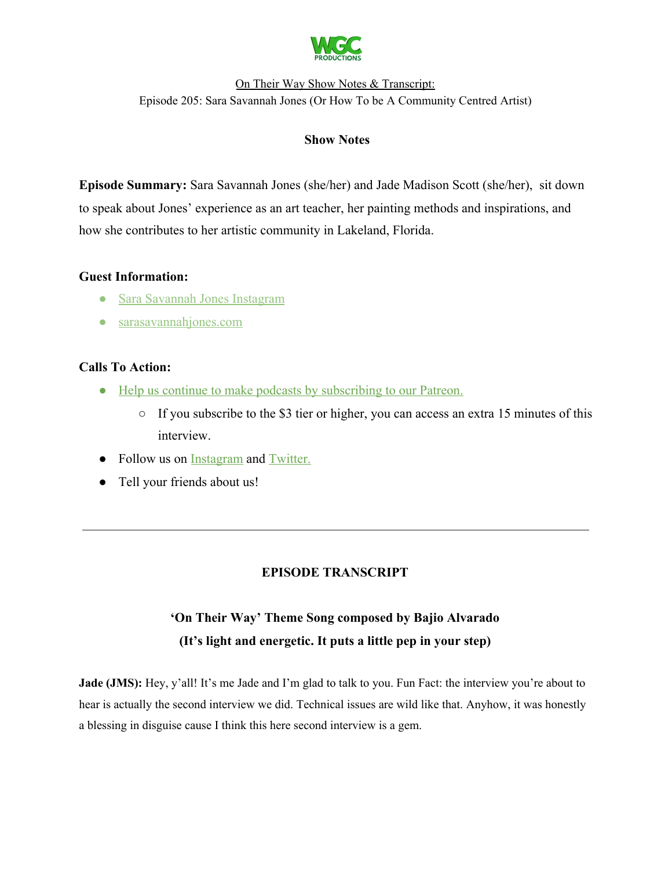

# **Show Notes**

**Episode Summary:** Sara Savannah Jones (she/her) and Jade Madison Scott (she/her), sit down to speak about Jones' experience as an art teacher, her painting methods and inspirations, and how she contributes to her artistic community in Lakeland, Florida.

# **Guest Information:**

- [Sara Savannah Jones Instagram](https://www.instagram.com/sara.savannah.jones/)
- [sarasavannahjones.com](https://www.sarasavannahjones.com/)

# **Calls To Action:**

- [Help us continue to make podcasts by subscribing to our Patreon.](https://www.patreon.com/withgoodco)
	- If you subscribe to the \$3 tier or higher, you can access an extra 15 minutes of this interview.
- Follow us on **Instagram** and **Twitter**.
- Tell your friends about us!

# **EPISODE TRANSCRIPT**

# **'On Their Way' Theme Song composed by Bajio Alvarado (It's light and energetic. It puts a little pep in your step)**

**Jade** (JMS): Hey, y'all! It's me Jade and I'm glad to talk to you. Fun Fact: the interview you're about to hear is actually the second interview we did. Technical issues are wild like that. Anyhow, it was honestly a blessing in disguise cause I think this here second interview is a gem.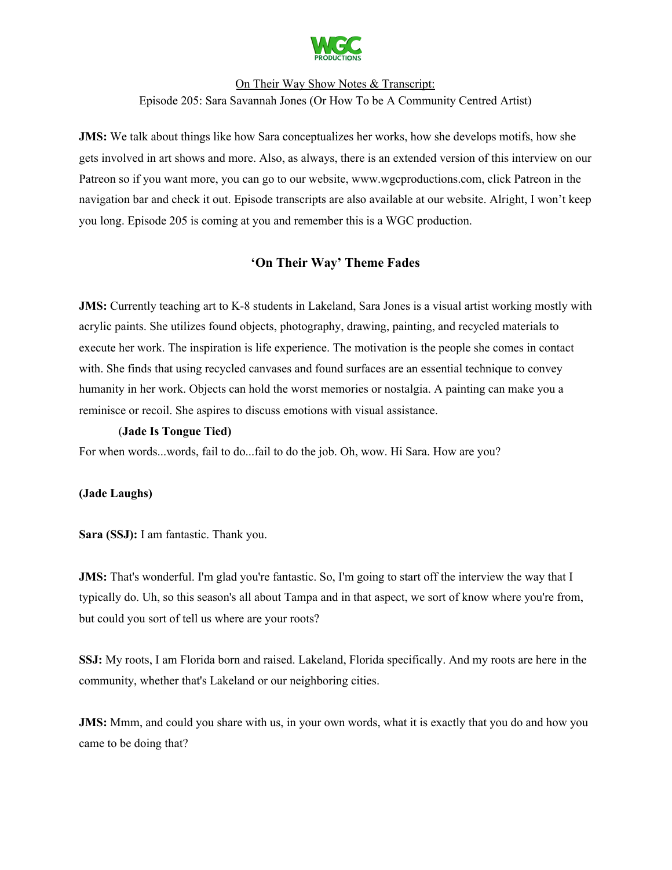

**JMS:** We talk about things like how Sara conceptualizes her works, how she develops motifs, how she gets involved in art shows and more. Also, as always, there is an extended version of this interview on our Patreon so if you want more, you can go to our website, www.wgcproductions.com, click Patreon in the navigation bar and check it out. Episode transcripts are also available at our website. Alright, I won't keep you long. Episode 205 is coming at you and remember this is a WGC production.

# **'On Their Way' Theme Fades**

**JMS:** Currently teaching art to K-8 students in Lakeland, Sara Jones is a visual artist working mostly with acrylic paints. She utilizes found objects, photography, drawing, painting, and recycled materials to execute her work. The inspiration is life experience. The motivation is the people she comes in contact with. She finds that using recycled canvases and found surfaces are an essential technique to convey humanity in her work. Objects can hold the worst memories or nostalgia. A painting can make you a reminisce or recoil. She aspires to discuss emotions with visual assistance.

#### (**Jade Is Tongue Tied)**

For when words...words, fail to do...fail to do the job. Oh, wow. Hi Sara. How are you?

#### **(Jade Laughs)**

**Sara (SSJ):** I am fantastic. Thank you.

**JMS:** That's wonderful. I'm glad you're fantastic. So, I'm going to start off the interview the way that I typically do. Uh, so this season's all about Tampa and in that aspect, we sort of know where you're from, but could you sort of tell us where are your roots?

**SSJ:** My roots, I am Florida born and raised. Lakeland, Florida specifically. And my roots are here in the community, whether that's Lakeland or our neighboring cities.

**JMS:** Mmm, and could you share with us, in your own words, what it is exactly that you do and how you came to be doing that?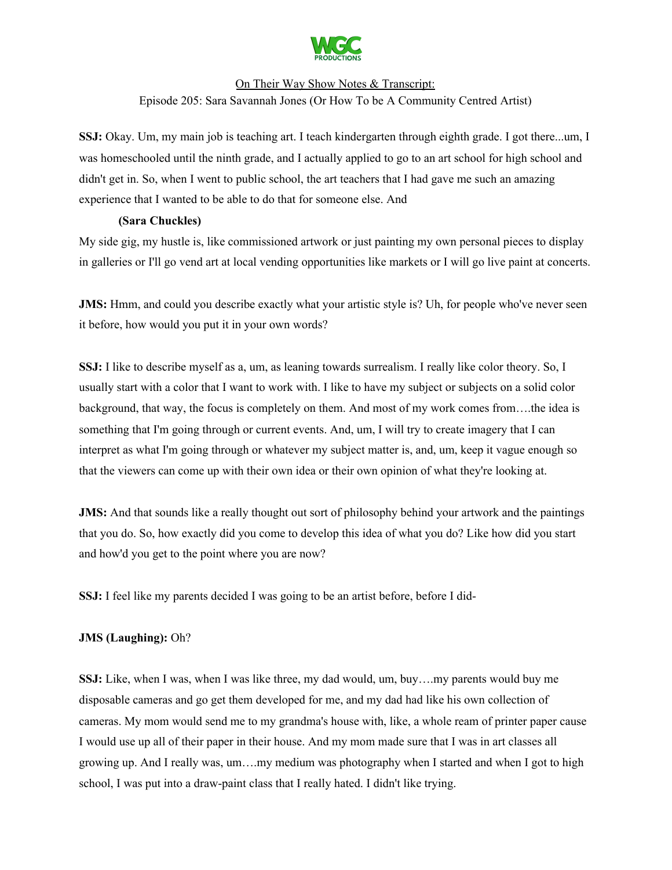

**SSJ:** Okay. Um, my main job is teaching art. I teach kindergarten through eighth grade. I got there...um, I was homeschooled until the ninth grade, and I actually applied to go to an art school for high school and didn't get in. So, when I went to public school, the art teachers that I had gave me such an amazing experience that I wanted to be able to do that for someone else. And

### **(Sara Chuckles)**

My side gig, my hustle is, like commissioned artwork or just painting my own personal pieces to display in galleries or I'll go vend art at local vending opportunities like markets or I will go live paint at concerts.

**JMS:** Hmm, and could you describe exactly what your artistic style is? Uh, for people who've never seen it before, how would you put it in your own words?

**SSJ:** I like to describe myself as a, um, as leaning towards surrealism. I really like color theory. So, I usually start with a color that I want to work with. I like to have my subject or subjects on a solid color background, that way, the focus is completely on them. And most of my work comes from….the idea is something that I'm going through or current events. And, um, I will try to create imagery that I can interpret as what I'm going through or whatever my subject matter is, and, um, keep it vague enough so that the viewers can come up with their own idea or their own opinion of what they're looking at.

**JMS:** And that sounds like a really thought out sort of philosophy behind your artwork and the paintings that you do. So, how exactly did you come to develop this idea of what you do? Like how did you start and how'd you get to the point where you are now?

**SSJ:** I feel like my parents decided I was going to be an artist before, before I did-

## **JMS (Laughing):** Oh?

**SSJ:** Like, when I was, when I was like three, my dad would, um, buy….my parents would buy me disposable cameras and go get them developed for me, and my dad had like his own collection of cameras. My mom would send me to my grandma's house with, like, a whole ream of printer paper cause I would use up all of their paper in their house. And my mom made sure that I was in art classes all growing up. And I really was, um….my medium was photography when I started and when I got to high school, I was put into a draw-paint class that I really hated. I didn't like trying.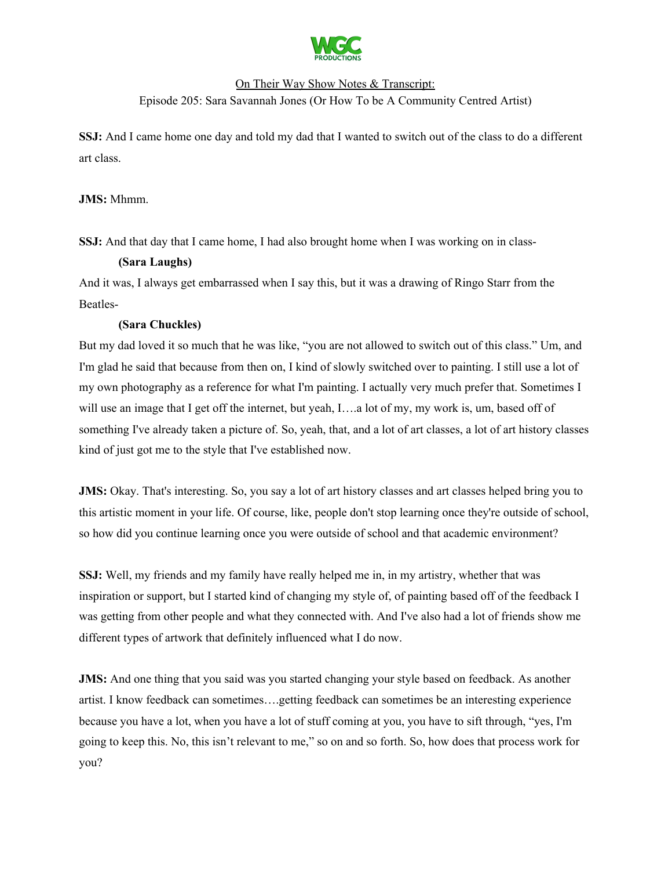

**SSJ:** And I came home one day and told my dad that I wanted to switch out of the class to do a different art class.

### **JMS:** Mhmm.

**SSJ:** And that day that I came home, I had also brought home when I was working on in class-

### **(Sara Laughs)**

And it was, I always get embarrassed when I say this, but it was a drawing of Ringo Starr from the Beatles-

## **(Sara Chuckles)**

But my dad loved it so much that he was like, "you are not allowed to switch out of this class." Um, and I'm glad he said that because from then on, I kind of slowly switched over to painting. I still use a lot of my own photography as a reference for what I'm painting. I actually very much prefer that. Sometimes I will use an image that I get off the internet, but yeah, I....a lot of my, my work is, um, based off of something I've already taken a picture of. So, yeah, that, and a lot of art classes, a lot of art history classes kind of just got me to the style that I've established now.

**JMS:** Okay. That's interesting. So, you say a lot of art history classes and art classes helped bring you to this artistic moment in your life. Of course, like, people don't stop learning once they're outside of school, so how did you continue learning once you were outside of school and that academic environment?

**SSJ:** Well, my friends and my family have really helped me in, in my artistry, whether that was inspiration or support, but I started kind of changing my style of, of painting based off of the feedback I was getting from other people and what they connected with. And I've also had a lot of friends show me different types of artwork that definitely influenced what I do now.

**JMS:** And one thing that you said was you started changing your style based on feedback. As another artist. I know feedback can sometimes….getting feedback can sometimes be an interesting experience because you have a lot, when you have a lot of stuff coming at you, you have to sift through, "yes, I'm going to keep this. No, this isn't relevant to me," so on and so forth. So, how does that process work for you?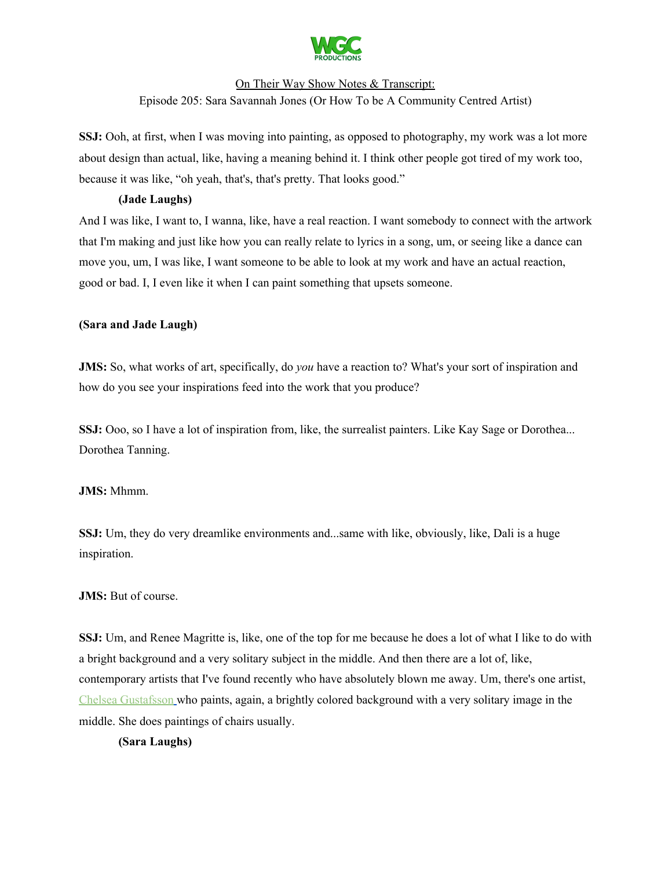

**SSJ:** Ooh, at first, when I was moving into painting, as opposed to photography, my work was a lot more about design than actual, like, having a meaning behind it. I think other people got tired of my work too, because it was like, "oh yeah, that's, that's pretty. That looks good."

### **(Jade Laughs)**

And I was like, I want to, I wanna, like, have a real reaction. I want somebody to connect with the artwork that I'm making and just like how you can really relate to lyrics in a song, um, or seeing like a dance can move you, um, I was like, I want someone to be able to look at my work and have an actual reaction, good or bad. I, I even like it when I can paint something that upsets someone.

### **(Sara and Jade Laugh)**

**JMS:** So, what works of art, specifically, do *you* have a reaction to? What's your sort of inspiration and how do you see your inspirations feed into the work that you produce?

**SSJ:** Ooo, so I have a lot of inspiration from, like, the surrealist painters. Like Kay Sage or Dorothea... Dorothea Tanning.

# **JMS:** Mhmm.

**SSJ:** Um, they do very dreamlike environments and...same with like, obviously, like, Dali is a huge inspiration.

## **JMS:** But of course.

**SSJ:** Um, and Renee Magritte is, like, one of the top for me because he does a lot of what I like to do with a bright background and a very solitary subject in the middle. And then there are a lot of, like, contemporary artists that I've found recently who have absolutely blown me away. Um, there's one artist, Chelsea [Gustafsson](https://www.chelseagustafsson.com/paintings) who paints, again, a brightly colored background with a very solitary image in the middle. She does paintings of chairs usually.

#### **(Sara Laughs)**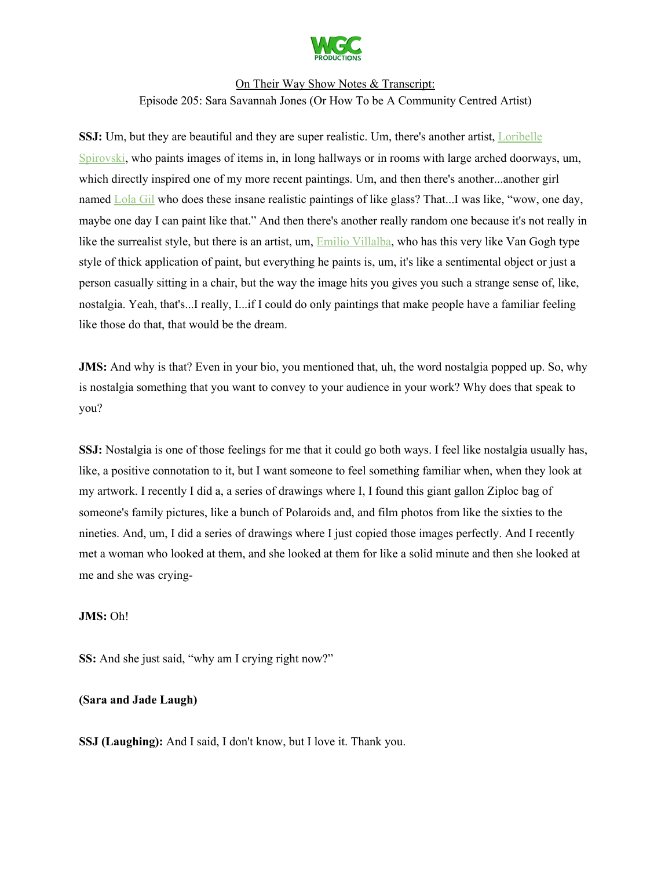

**SSJ:** Um, but they are beautiful and they are super realistic. Um, there's another artist, [Loribelle](https://www.loribellespirovski.com/) [Spirovski](https://www.loribellespirovski.com/), who paints images of items in, in long hallways or in rooms with large arched doorways, um, which directly inspired one of my more recent paintings. Um, and then there's another...another girl named [Lola](https://www.lolafineart.com/) Gil who does these insane realistic paintings of like glass? That...I was like, "wow, one day, maybe one day I can paint like that." And then there's another really random one because it's not really in like the surrealist style, but there is an artist, um, **Emilio [Villalba](https://emiliovillalbaart.com/)**, who has this very like Van Gogh type style of thick application of paint, but everything he paints is, um, it's like a sentimental object or just a person casually sitting in a chair, but the way the image hits you gives you such a strange sense of, like, nostalgia. Yeah, that's...I really, I...if I could do only paintings that make people have a familiar feeling like those do that, that would be the dream.

**JMS:** And why is that? Even in your bio, you mentioned that, uh, the word nostalgia popped up. So, why is nostalgia something that you want to convey to your audience in your work? Why does that speak to you?

**SSJ:** Nostalgia is one of those feelings for me that it could go both ways. I feel like nostalgia usually has, like, a positive connotation to it, but I want someone to feel something familiar when, when they look at my artwork. I recently I did a, a series of drawings where I, I found this giant gallon Ziploc bag of someone's family pictures, like a bunch of Polaroids and, and film photos from like the sixties to the nineties. And, um, I did a series of drawings where I just copied those images perfectly. And I recently met a woman who looked at them, and she looked at them for like a solid minute and then she looked at me and she was crying-

#### **JMS:** Oh!

**SS:** And she just said, "why am I crying right now?"

#### **(Sara and Jade Laugh)**

**SSJ (Laughing):** And I said, I don't know, but I love it. Thank you.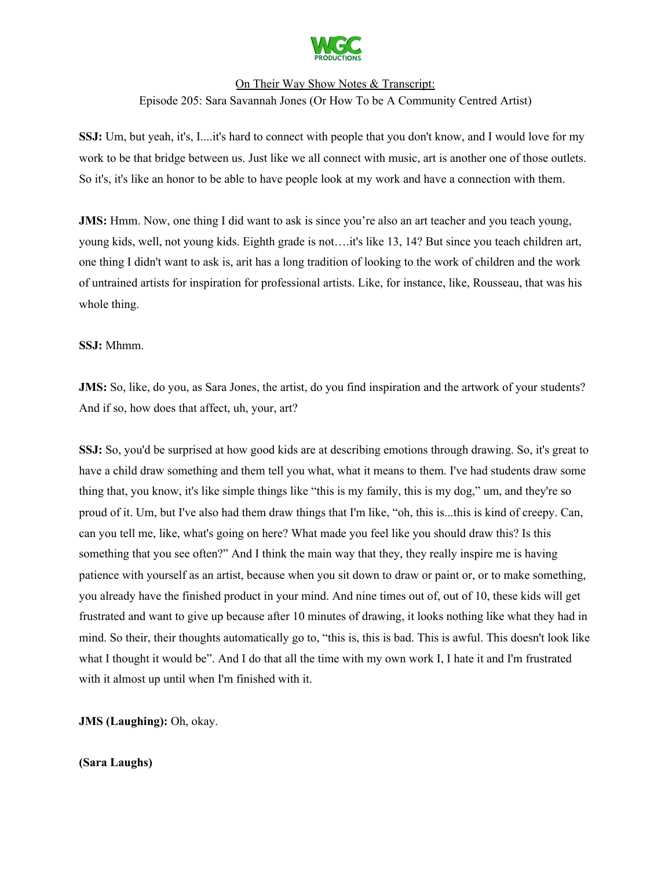

**SSJ:** Um, but yeah, it's, I....it's hard to connect with people that you don't know, and I would love for my work to be that bridge between us. Just like we all connect with music, art is another one of those outlets. So it's, it's like an honor to be able to have people look at my work and have a connection with them.

**JMS:** Hmm. Now, one thing I did want to ask is since you're also an art teacher and you teach young, young kids, well, not young kids. Eighth grade is not….it's like 13, 14? But since you teach children art, one thing I didn't want to ask is, arit has a long tradition of looking to the work of children and the work of untrained artists for inspiration for professional artists. Like, for instance, like, Rousseau, that was his whole thing.

### **SSJ:** Mhmm.

**JMS:** So, like, do you, as Sara Jones, the artist, do you find inspiration and the artwork of your students? And if so, how does that affect, uh, your, art?

**SSJ:** So, you'd be surprised at how good kids are at describing emotions through drawing. So, it's great to have a child draw something and them tell you what, what it means to them. I've had students draw some thing that, you know, it's like simple things like "this is my family, this is my dog," um, and they're so proud of it. Um, but I've also had them draw things that I'm like, "oh, this is...this is kind of creepy. Can, can you tell me, like, what's going on here? What made you feel like you should draw this? Is this something that you see often?" And I think the main way that they, they really inspire me is having patience with yourself as an artist, because when you sit down to draw or paint or, or to make something, you already have the finished product in your mind. And nine times out of, out of 10, these kids will get frustrated and want to give up because after 10 minutes of drawing, it looks nothing like what they had in mind. So their, their thoughts automatically go to, "this is, this is bad. This is awful. This doesn't look like what I thought it would be". And I do that all the time with my own work I, I hate it and I'm frustrated with it almost up until when I'm finished with it.

**JMS (Laughing):** Oh, okay.

**(Sara Laughs)**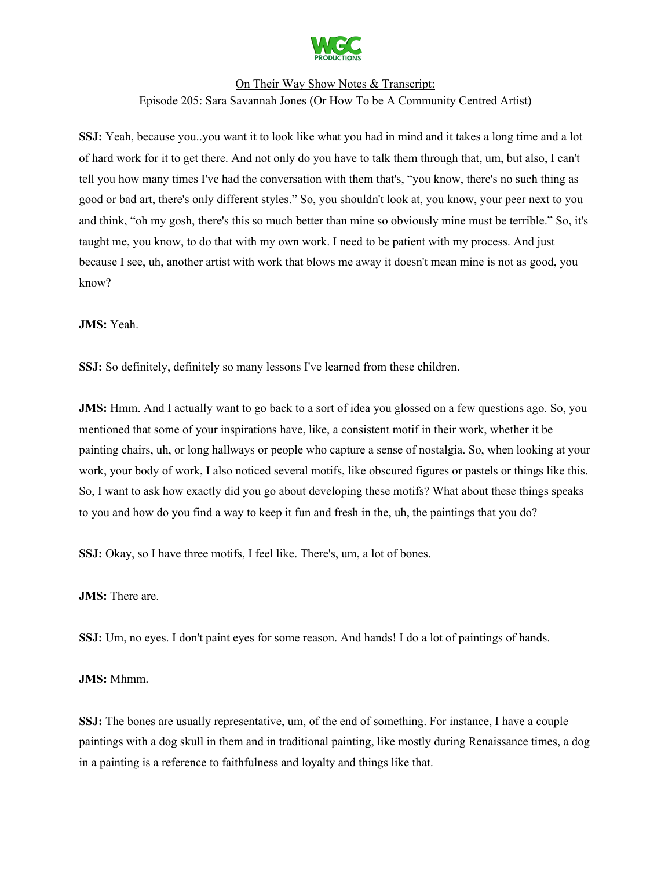

**SSJ:** Yeah, because you..you want it to look like what you had in mind and it takes a long time and a lot of hard work for it to get there. And not only do you have to talk them through that, um, but also, I can't tell you how many times I've had the conversation with them that's, "you know, there's no such thing as good or bad art, there's only different styles." So, you shouldn't look at, you know, your peer next to you and think, "oh my gosh, there's this so much better than mine so obviously mine must be terrible." So, it's taught me, you know, to do that with my own work. I need to be patient with my process. And just because I see, uh, another artist with work that blows me away it doesn't mean mine is not as good, you know?

**JMS:** Yeah.

**SSJ:** So definitely, definitely so many lessons I've learned from these children.

**JMS:** Hmm. And I actually want to go back to a sort of idea you glossed on a few questions ago. So, you mentioned that some of your inspirations have, like, a consistent motif in their work, whether it be painting chairs, uh, or long hallways or people who capture a sense of nostalgia. So, when looking at your work, your body of work, I also noticed several motifs, like obscured figures or pastels or things like this. So, I want to ask how exactly did you go about developing these motifs? What about these things speaks to you and how do you find a way to keep it fun and fresh in the, uh, the paintings that you do?

**SSJ:** Okay, so I have three motifs, I feel like. There's, um, a lot of bones.

**JMS:** There are.

**SSJ:** Um, no eyes. I don't paint eyes for some reason. And hands! I do a lot of paintings of hands.

**JMS:** Mhmm.

**SSJ:** The bones are usually representative, um, of the end of something. For instance, I have a couple paintings with a dog skull in them and in traditional painting, like mostly during Renaissance times, a dog in a painting is a reference to faithfulness and loyalty and things like that.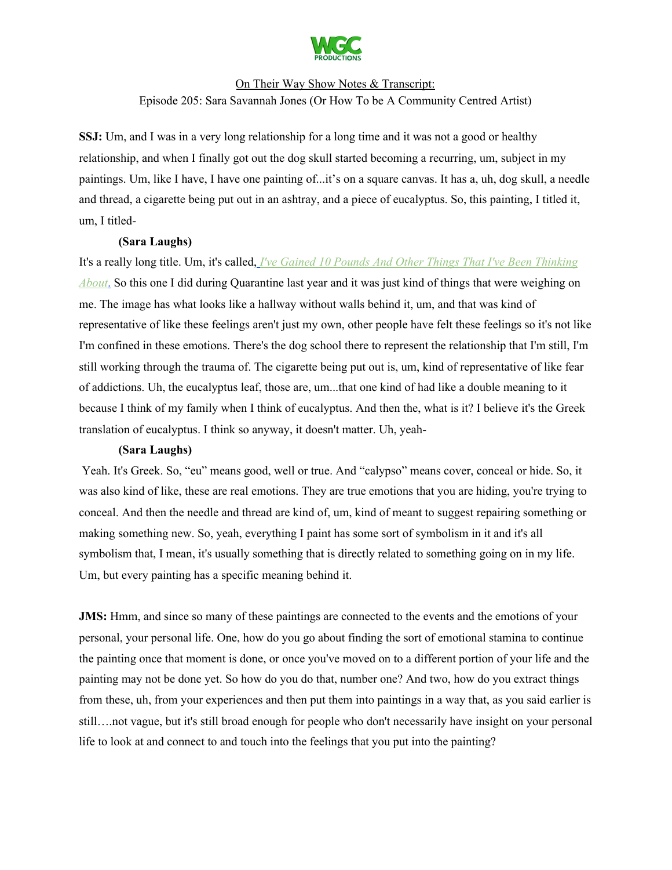

**SSJ:** Um, and I was in a very long relationship for a long time and it was not a good or healthy relationship, and when I finally got out the dog skull started becoming a recurring, um, subject in my paintings. Um, like I have, I have one painting of...it's on a square canvas. It has a, uh, dog skull, a needle and thread, a cigarette being put out in an ashtray, and a piece of eucalyptus. So, this painting, I titled it, um, I titled-

#### **(Sara Laughs)**

It's a really long title. Um, it's called, *[I](https://www.sarasavannahjones.com/artworks?pgid=irngk5za-7a2d0124-7614-4023-b438-409798e1ac41)'ve Gained 10 Pounds And Other Things That I've Been [Thinking](https://www.sarasavannahjones.com/artworks?pgid=irngk5za-7a2d0124-7614-4023-b438-409798e1ac41) [About](https://www.sarasavannahjones.com/artworks?pgid=irngk5za-7a2d0124-7614-4023-b438-409798e1ac41)*[.](https://www.sarasavannahjones.com/artworks?pgid=irngk5za-7a2d0124-7614-4023-b438-409798e1ac41) So this one I did during Quarantine last year and it was just kind of things that were weighing on me. The image has what looks like a hallway without walls behind it, um, and that was kind of representative of like these feelings aren't just my own, other people have felt these feelings so it's not like I'm confined in these emotions. There's the dog school there to represent the relationship that I'm still, I'm still working through the trauma of. The cigarette being put out is, um, kind of representative of like fear of addictions. Uh, the eucalyptus leaf, those are, um...that one kind of had like a double meaning to it because I think of my family when I think of eucalyptus. And then the, what is it? I believe it's the Greek translation of eucalyptus. I think so anyway, it doesn't matter. Uh, yeah-

#### **(Sara Laughs)**

Yeah. It's Greek. So, "eu" means good, well or true. And "calypso" means cover, conceal or hide. So, it was also kind of like, these are real emotions. They are true emotions that you are hiding, you're trying to conceal. And then the needle and thread are kind of, um, kind of meant to suggest repairing something or making something new. So, yeah, everything I paint has some sort of symbolism in it and it's all symbolism that, I mean, it's usually something that is directly related to something going on in my life. Um, but every painting has a specific meaning behind it.

**JMS:** Hmm, and since so many of these paintings are connected to the events and the emotions of your personal, your personal life. One, how do you go about finding the sort of emotional stamina to continue the painting once that moment is done, or once you've moved on to a different portion of your life and the painting may not be done yet. So how do you do that, number one? And two, how do you extract things from these, uh, from your experiences and then put them into paintings in a way that, as you said earlier is still….not vague, but it's still broad enough for people who don't necessarily have insight on your personal life to look at and connect to and touch into the feelings that you put into the painting?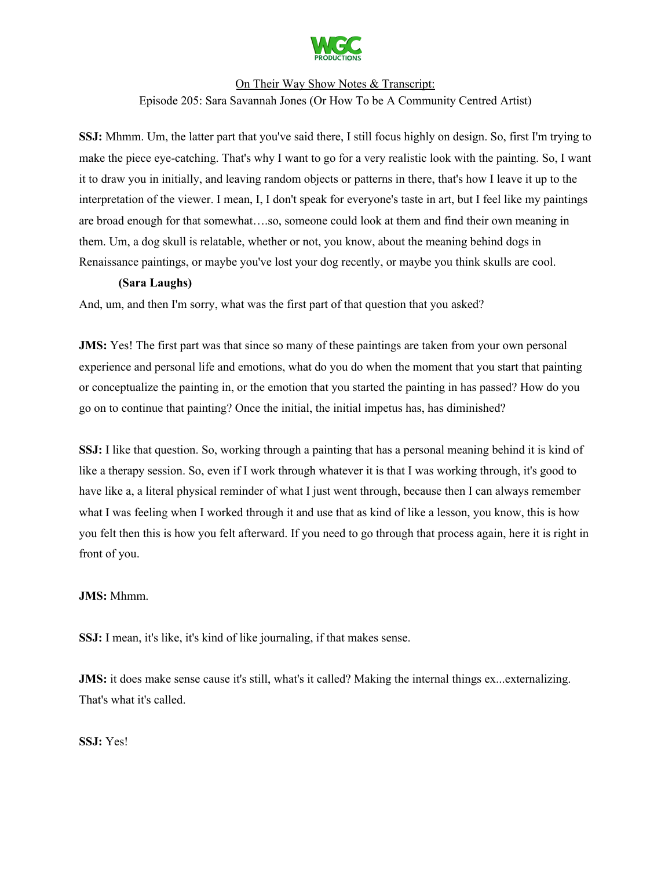

**SSJ:** Mhmm. Um, the latter part that you've said there, I still focus highly on design. So, first I'm trying to make the piece eye-catching. That's why I want to go for a very realistic look with the painting. So, I want it to draw you in initially, and leaving random objects or patterns in there, that's how I leave it up to the interpretation of the viewer. I mean, I, I don't speak for everyone's taste in art, but I feel like my paintings are broad enough for that somewhat….so, someone could look at them and find their own meaning in them. Um, a dog skull is relatable, whether or not, you know, about the meaning behind dogs in Renaissance paintings, or maybe you've lost your dog recently, or maybe you think skulls are cool.

#### **(Sara Laughs)**

And, um, and then I'm sorry, what was the first part of that question that you asked?

**JMS:** Yes! The first part was that since so many of these paintings are taken from your own personal experience and personal life and emotions, what do you do when the moment that you start that painting or conceptualize the painting in, or the emotion that you started the painting in has passed? How do you go on to continue that painting? Once the initial, the initial impetus has, has diminished?

**SSJ:** I like that question. So, working through a painting that has a personal meaning behind it is kind of like a therapy session. So, even if I work through whatever it is that I was working through, it's good to have like a, a literal physical reminder of what I just went through, because then I can always remember what I was feeling when I worked through it and use that as kind of like a lesson, you know, this is how you felt then this is how you felt afterward. If you need to go through that process again, here it is right in front of you.

#### **JMS:** Mhmm.

**SSJ:** I mean, it's like, it's kind of like journaling, if that makes sense.

**JMS:** it does make sense cause it's still, what's it called? Making the internal things ex...externalizing. That's what it's called.

**SSJ:** Yes!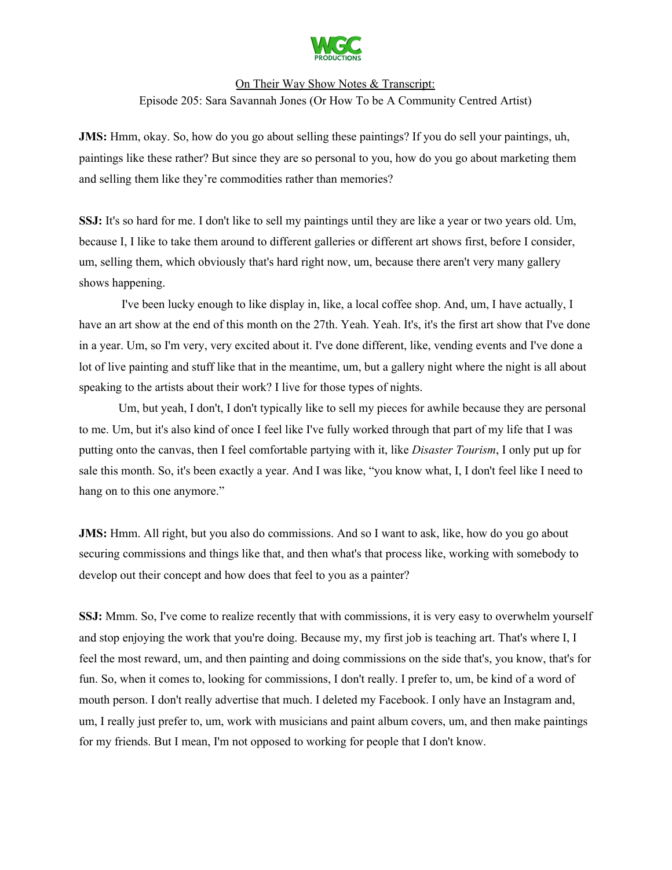

**JMS:** Hmm, okay. So, how do you go about selling these paintings? If you do sell your paintings, uh, paintings like these rather? But since they are so personal to you, how do you go about marketing them and selling them like they're commodities rather than memories?

**SSJ:** It's so hard for me. I don't like to sell my paintings until they are like a year or two years old. Um, because I, I like to take them around to different galleries or different art shows first, before I consider, um, selling them, which obviously that's hard right now, um, because there aren't very many gallery shows happening.

I've been lucky enough to like display in, like, a local coffee shop. And, um, I have actually, I have an art show at the end of this month on the 27th. Yeah. Yeah. It's, it's the first art show that I've done in a year. Um, so I'm very, very excited about it. I've done different, like, vending events and I've done a lot of live painting and stuff like that in the meantime, um, but a gallery night where the night is all about speaking to the artists about their work? I live for those types of nights.

Um, but yeah, I don't, I don't typically like to sell my pieces for awhile because they are personal to me. Um, but it's also kind of once I feel like I've fully worked through that part of my life that I was putting onto the canvas, then I feel comfortable partying with it, like *Disaster Tourism*, I only put up for sale this month. So, it's been exactly a year. And I was like, "you know what, I, I don't feel like I need to hang on to this one anymore."

**JMS:** Hmm. All right, but you also do commissions. And so I want to ask, like, how do you go about securing commissions and things like that, and then what's that process like, working with somebody to develop out their concept and how does that feel to you as a painter?

**SSJ:** Mmm. So, I've come to realize recently that with commissions, it is very easy to overwhelm yourself and stop enjoying the work that you're doing. Because my, my first job is teaching art. That's where I, I feel the most reward, um, and then painting and doing commissions on the side that's, you know, that's for fun. So, when it comes to, looking for commissions, I don't really. I prefer to, um, be kind of a word of mouth person. I don't really advertise that much. I deleted my Facebook. I only have an Instagram and, um, I really just prefer to, um, work with musicians and paint album covers, um, and then make paintings for my friends. But I mean, I'm not opposed to working for people that I don't know.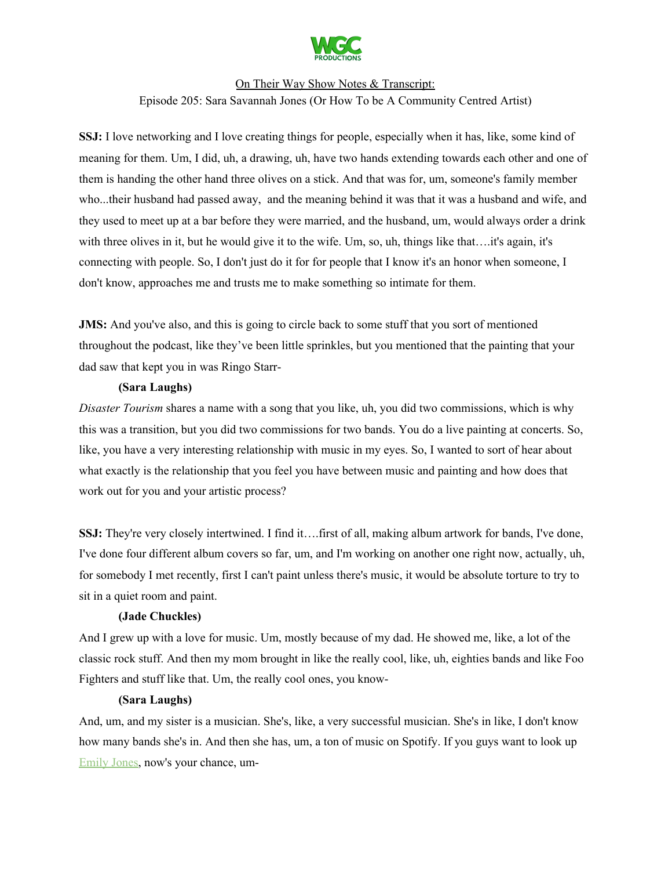

**SSJ:** I love networking and I love creating things for people, especially when it has, like, some kind of meaning for them. Um, I did, uh, a drawing, uh, have two hands extending towards each other and one of them is handing the other hand three olives on a stick. And that was for, um, someone's family member who...their husband had passed away, and the meaning behind it was that it was a husband and wife, and they used to meet up at a bar before they were married, and the husband, um, would always order a drink with three olives in it, but he would give it to the wife. Um, so, uh, things like that….it's again, it's connecting with people. So, I don't just do it for for people that I know it's an honor when someone, I don't know, approaches me and trusts me to make something so intimate for them.

**JMS:** And you've also, and this is going to circle back to some stuff that you sort of mentioned throughout the podcast, like they've been little sprinkles, but you mentioned that the painting that your dad saw that kept you in was Ringo Starr-

#### **(Sara Laughs)**

*Disaster Tourism* shares a name with a song that you like, uh, you did two commissions, which is why this was a transition, but you did two commissions for two bands. You do a live painting at concerts. So, like, you have a very interesting relationship with music in my eyes. So, I wanted to sort of hear about what exactly is the relationship that you feel you have between music and painting and how does that work out for you and your artistic process?

**SSJ:** They're very closely intertwined. I find it….first of all, making album artwork for bands, I've done, I've done four different album covers so far, um, and I'm working on another one right now, actually, uh, for somebody I met recently, first I can't paint unless there's music, it would be absolute torture to try to sit in a quiet room and paint.

#### **(Jade Chuckles)**

And I grew up with a love for music. Um, mostly because of my dad. He showed me, like, a lot of the classic rock stuff. And then my mom brought in like the really cool, like, uh, eighties bands and like Foo Fighters and stuff like that. Um, the really cool ones, you know-

#### **(Sara Laughs)**

And, um, and my sister is a musician. She's, like, a very successful musician. She's in like, I don't know how many bands she's in. And then she has, um, a ton of music on Spotify. If you guys want to look up [Emily](https://emilyjonesfl.bandcamp.com/) Jones, now's your chance, um-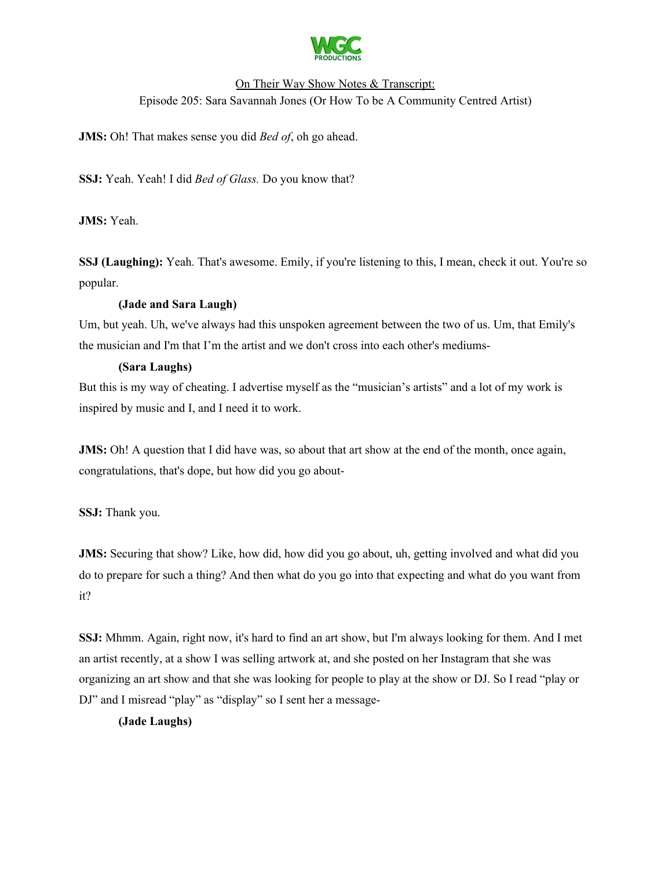

**JMS:** Oh! That makes sense you did *Bed of*, oh go ahead.

**SSJ:** Yeah. Yeah! I did *Bed of Glass.* Do you know that?

**JMS:** Yeah.

**SSJ** (Laughing): Yeah. That's awesome. Emily, if you're listening to this, I mean, check it out. You're so popular.

### **(Jade and Sara Laugh)**

Um, but yeah. Uh, we've always had this unspoken agreement between the two of us. Um, that Emily's the musician and I'm that I'm the artist and we don't cross into each other's mediums-

### **(Sara Laughs)**

But this is my way of cheating. I advertise myself as the "musician's artists" and a lot of my work is inspired by music and I, and I need it to work.

**JMS:** Oh! A question that I did have was, so about that art show at the end of the month, once again, congratulations, that's dope, but how did you go about-

**SSJ:** Thank you.

**JMS:** Securing that show? Like, how did, how did you go about, uh, getting involved and what did you do to prepare for such a thing? And then what do you go into that expecting and what do you want from it?

**SSJ:** Mhmm. Again, right now, it's hard to find an art show, but I'm always looking for them. And I met an artist recently, at a show I was selling artwork at, and she posted on her Instagram that she was organizing an art show and that she was looking for people to play at the show or DJ. So I read "play or DJ" and I misread "play" as "display" so I sent her a message-

## **(Jade Laughs)**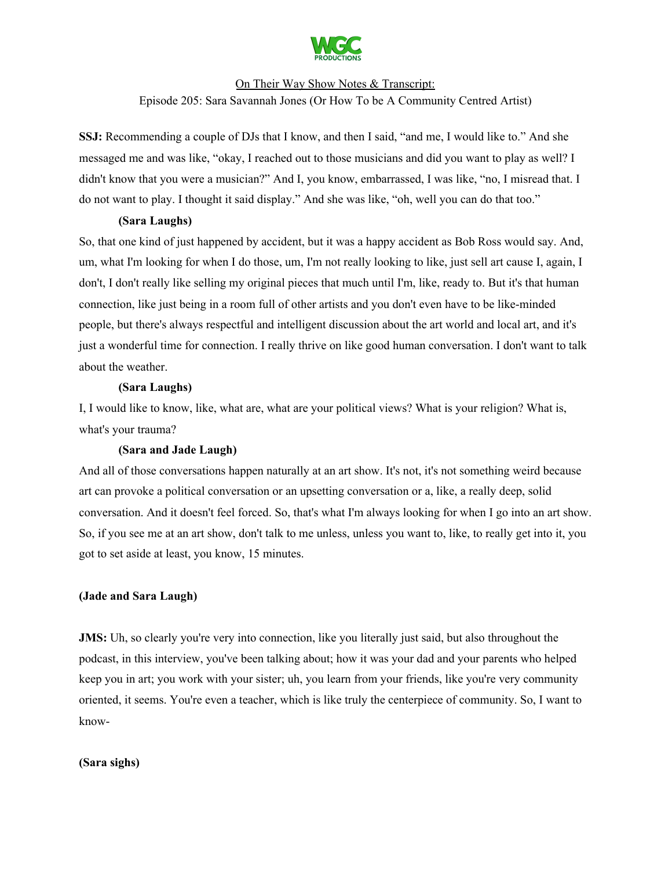

**SSJ:** Recommending a couple of DJs that I know, and then I said, "and me, I would like to." And she messaged me and was like, "okay, I reached out to those musicians and did you want to play as well? I didn't know that you were a musician?" And I, you know, embarrassed, I was like, "no, I misread that. I do not want to play. I thought it said display." And she was like, "oh, well you can do that too."

### **(Sara Laughs)**

So, that one kind of just happened by accident, but it was a happy accident as Bob Ross would say. And, um, what I'm looking for when I do those, um, I'm not really looking to like, just sell art cause I, again, I don't, I don't really like selling my original pieces that much until I'm, like, ready to. But it's that human connection, like just being in a room full of other artists and you don't even have to be like-minded people, but there's always respectful and intelligent discussion about the art world and local art, and it's just a wonderful time for connection. I really thrive on like good human conversation. I don't want to talk about the weather.

## **(Sara Laughs)**

I, I would like to know, like, what are, what are your political views? What is your religion? What is, what's your trauma?

## **(Sara and Jade Laugh)**

And all of those conversations happen naturally at an art show. It's not, it's not something weird because art can provoke a political conversation or an upsetting conversation or a, like, a really deep, solid conversation. And it doesn't feel forced. So, that's what I'm always looking for when I go into an art show. So, if you see me at an art show, don't talk to me unless, unless you want to, like, to really get into it, you got to set aside at least, you know, 15 minutes.

## **(Jade and Sara Laugh)**

**JMS:** Uh, so clearly you're very into connection, like you literally just said, but also throughout the podcast, in this interview, you've been talking about; how it was your dad and your parents who helped keep you in art; you work with your sister; uh, you learn from your friends, like you're very community oriented, it seems. You're even a teacher, which is like truly the centerpiece of community. So, I want to know-

#### **(Sara sighs)**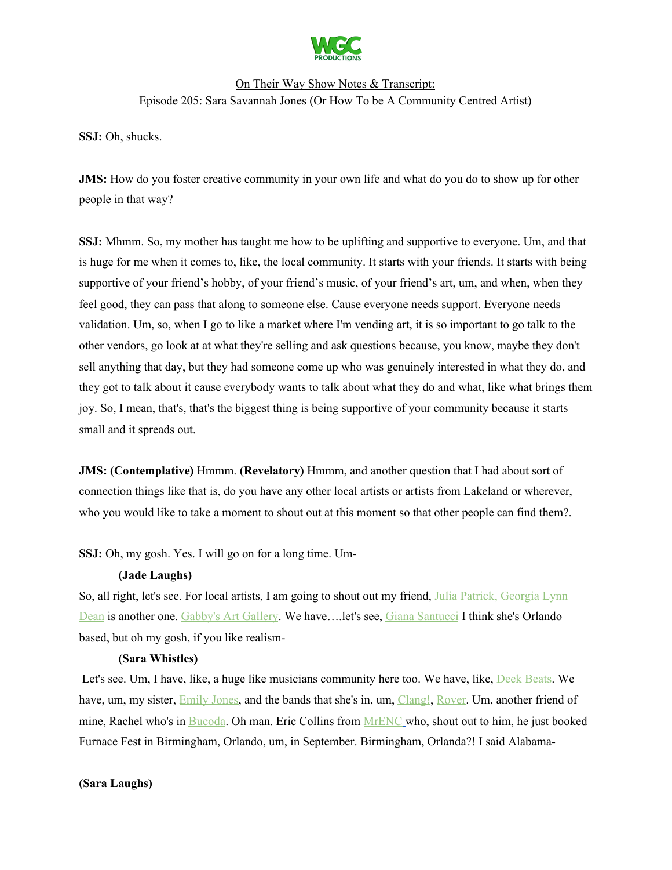

**SSJ:** Oh, shucks.

**JMS:** How do you foster creative community in your own life and what do you do to show up for other people in that way?

**SSJ:** Mhmm. So, my mother has taught me how to be uplifting and supportive to everyone. Um, and that is huge for me when it comes to, like, the local community. It starts with your friends. It starts with being supportive of your friend's hobby, of your friend's music, of your friend's art, um, and when, when they feel good, they can pass that along to someone else. Cause everyone needs support. Everyone needs validation. Um, so, when I go to like a market where I'm vending art, it is so important to go talk to the other vendors, go look at at what they're selling and ask questions because, you know, maybe they don't sell anything that day, but they had someone come up who was genuinely interested in what they do, and they got to talk about it cause everybody wants to talk about what they do and what, like what brings them joy. So, I mean, that's, that's the biggest thing is being supportive of your community because it starts small and it spreads out.

**JMS: (Contemplative)** Hmmm. **(Revelatory)** Hmmm, and another question that I had about sort of connection things like that is, do you have any other local artists or artists from Lakeland or wherever, who you would like to take a moment to shout out at this moment so that other people can find them?.

**SSJ:** Oh, my gosh. Yes. I will go on for a long time. Um-

#### **(Jade Laughs)**

So, all right, let's see. For local artists, I am going to shout out my friend, Julia [Patrick,](https://www.juliapatrick.art/) [Georgia](https://georgialynndean.myportfolio.com/work) Lynn [Dean](https://georgialynndean.myportfolio.com/work) is another one. [Gabby's](https://www.gabysartgallery.net/) Art Gallery. We have....let's see, Giana [Santucci](https://www.instagram.com/gianna_santucci/) I think she's Orlando based, but oh my gosh, if you like realism-

#### **(Sara Whistles)**

Let's see. Um, I have, like, a huge like musicians community here too. We have, like, Deek [Beats](https://www.instagram.com/deekbeats/?hl=en). We have, um, my sister, **[Emily](https://emilyjonesfl.bandcamp.com/) Jones**, and the bands that she's in, um, [Clang!](https://clang.bandcamp.com/), [Rover](https://rover4life.bandcamp.com/). Um, another friend of mine, Rachel who's in [Bucoda.](https://www.instagram.com/bucoda/?hl=en) Oh man. Eric Collins from [MrENC](https://linktr.ee/MrENCmusic) [w](https://linktr.ee/MrENCmusic)ho, shout out to him, he just booked Furnace Fest in Birmingham, Orlando, um, in September. Birmingham, Orlanda?! I said Alabama-

**(Sara Laughs)**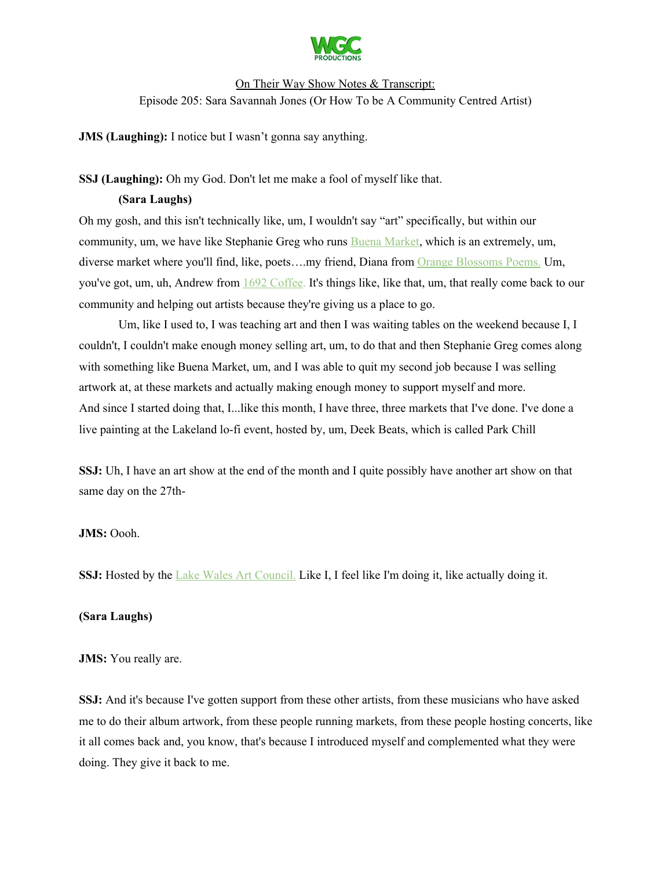

**JMS (Laughing):** I notice but I wasn't gonna say anything.

### **SSJ (Laughing):** Oh my God. Don't let me make a fool of myself like that.

### **(Sara Laughs)**

Oh my gosh, and this isn't technically like, um, I wouldn't say "art" specifically, but within our community, um, we have like Stephanie Greg who runs **Buena [Market](https://www.instagram.com/buenamarket/?hl=en)**, which is an extremely, um, diverse market where you'll find, like, poets….my friend, Diana from Orange [Blossoms](https://www.instagram.com/orangeblossompoems/?hl=en) Poems. Um, you've got, um, uh, Andrew from 1692 [Coffee](https://www.instagram.com/16.92__/?hl=en). It's things like, like that, um, that really come back to our community and helping out artists because they're giving us a place to go.

Um, like I used to, I was teaching art and then I was waiting tables on the weekend because I, I couldn't, I couldn't make enough money selling art, um, to do that and then Stephanie Greg comes along with something like Buena Market, um, and I was able to quit my second job because I was selling artwork at, at these markets and actually making enough money to support myself and more. And since I started doing that, I...like this month, I have three, three markets that I've done. I've done a live painting at the Lakeland lo-fi event, hosted by, um, Deek Beats, which is called Park Chill

**SSJ:** Uh, I have an art show at the end of the month and I quite possibly have another art show on that same day on the 27th-

#### **JMS:** Oooh.

**SSJ:** Hosted by the Lake Wales Art [Council.](http://www.lakewalesartscouncil.org/) Like I, I feel like I'm doing it, like actually doing it.

#### **(Sara Laughs)**

#### **JMS:** You really are.

**SSJ:** And it's because I've gotten support from these other artists, from these musicians who have asked me to do their album artwork, from these people running markets, from these people hosting concerts, like it all comes back and, you know, that's because I introduced myself and complemented what they were doing. They give it back to me.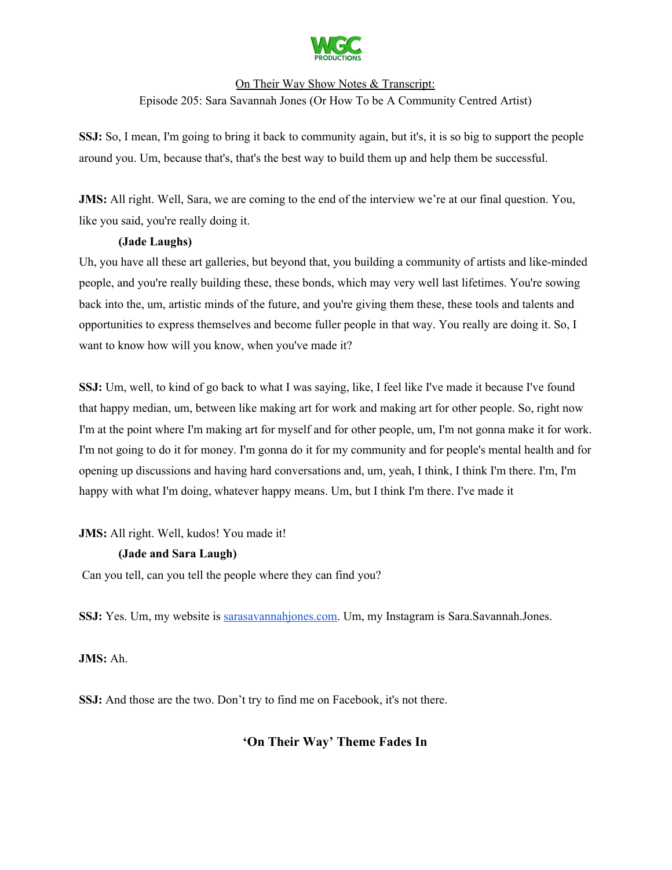

**SSJ:** So, I mean, I'm going to bring it back to community again, but it's, it is so big to support the people around you. Um, because that's, that's the best way to build them up and help them be successful.

**JMS:** All right. Well, Sara, we are coming to the end of the interview we're at our final question. You, like you said, you're really doing it.

## **(Jade Laughs)**

Uh, you have all these art galleries, but beyond that, you building a community of artists and like-minded people, and you're really building these, these bonds, which may very well last lifetimes. You're sowing back into the, um, artistic minds of the future, and you're giving them these, these tools and talents and opportunities to express themselves and become fuller people in that way. You really are doing it. So, I want to know how will you know, when you've made it?

**SSJ:** Um, well, to kind of go back to what I was saying, like, I feel like I've made it because I've found that happy median, um, between like making art for work and making art for other people. So, right now I'm at the point where I'm making art for myself and for other people, um, I'm not gonna make it for work. I'm not going to do it for money. I'm gonna do it for my community and for people's mental health and for opening up discussions and having hard conversations and, um, yeah, I think, I think I'm there. I'm, I'm happy with what I'm doing, whatever happy means. Um, but I think I'm there. I've made it

**JMS:** All right. Well, kudos! You made it!

## **(Jade and Sara Laugh)**

Can you tell, can you tell the people where they can find you?

**SSJ:** Yes. Um, my website is [sarasavannahjones.com.](https://www.sarasavannahjones.com/) Um, my Instagram is Sara.Savannah.Jones.

**JMS:** Ah.

**SSJ:** And those are the two. Don't try to find me on Facebook, it's not there.

# **'On Their Way' Theme Fades In**